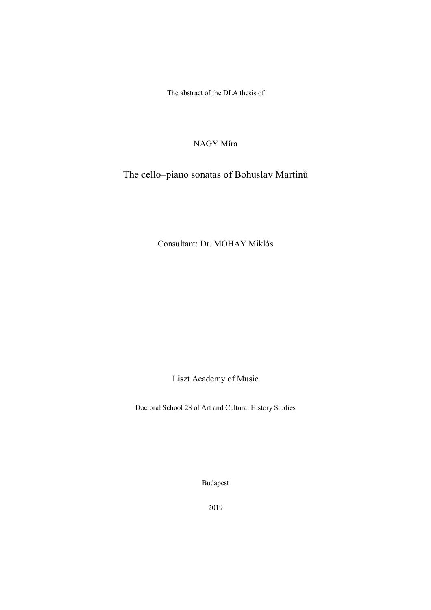The abstract of the DLA thesis of

# NAGY Míra

The cello–piano sonatas of Bohuslav Martinů

Consultant: Dr. MOHAY Miklós

Liszt Academy of Music

Doctoral School 28 of Art and Cultural History Studies

Budapest

2019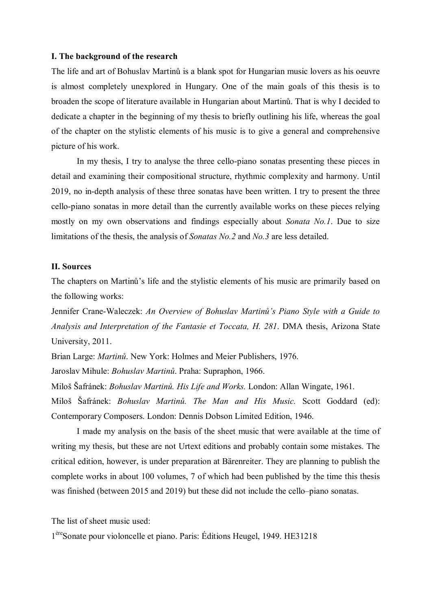## **I. The background of the research**

The life and art of Bohuslav Martinů is a blank spot for Hungarian music lovers as his oeuvre is almost completely unexplored in Hungary. One of the main goals of this thesis is to broaden the scope of literature available in Hungarian about Martinů. That is why I decided to dedicate a chapter in the beginning of my thesis to briefly outlining his life, whereas the goal of the chapter on the stylistic elements of his music is to give a general and comprehensive picture of his work.

In my thesis, I try to analyse the three cello-piano sonatas presenting these pieces in detail and examining their compositional structure, rhythmic complexity and harmony. Until 2019, no in-depth analysis of these three sonatas have been written. I try to present the three cello-piano sonatas in more detail than the currently available works on these pieces relying mostly on my own observations and findings especially about *Sonata No.1*. Due to size limitations of the thesis, the analysis of *Sonatas No.2* and *No.3* are less detailed.

### **II. Sources**

The chapters on Martinů's life and the stylistic elements of his music are primarily based on the following works:

Jennifer Crane-Waleczek: *An Overview of Bohuslav Martinů's Piano Style with a Guide to Analysis and Interpretation of the Fantasie et Toccata, H. 281*. DMA thesis, Arizona State University, 2011.

Brian Large: *Martinů*. New York: Holmes and Meier Publishers, 1976.

Jaroslav Mihule: *Bohuslav Martinů*. Praha: Supraphon, 1966.

Miloš Šafránek: *Bohuslav Martinů. His Life and Works.* London: Allan Wingate, 1961.

Miloš Šafránek: *Bohuslav Martinů. The Man and His Music.* Scott Goddard (ed): Contemporary Composers. London: Dennis Dobson Limited Edition, 1946.

I made my analysis on the basis of the sheet music that were available at the time of writing my thesis, but these are not Urtext editions and probably contain some mistakes. The critical edition, however, is under preparation at Bärenreiter. They are planning to publish the complete works in about 100 volumes, 7 of which had been published by the time this thesis was finished (between 2015 and 2019) but these did not include the cello–piano sonatas.

The list of sheet music used:

1<sup>ère</sup>Sonate pour violoncelle et piano. Paris: Éditions Heugel, 1949. HE31218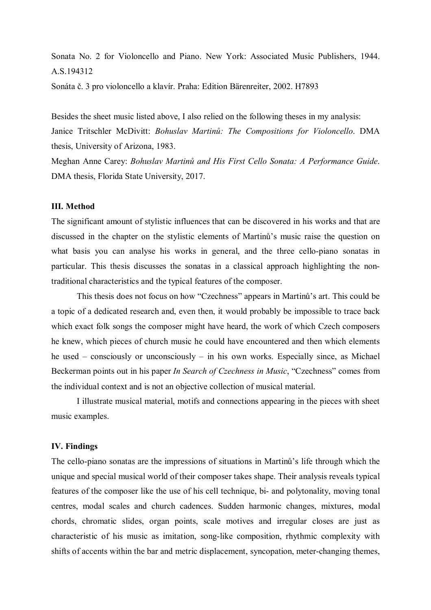Sonata No. 2 for Violoncello and Piano. New York: Associated Music Publishers, 1944. A.S.194312

Sonáta č. 3 pro violoncello a klavír. Praha: Edition Bärenreiter, 2002. H7893

Besides the sheet music listed above, I also relied on the following theses in my analysis: Janice Tritschler McDivitt: *Bohuslav Martinů: The Compositions for Violoncello*. DMA thesis, University of Arizona, 1983.

Meghan Anne Carey: *Bohuslav Martinů and His First Cello Sonata: A Performance Guide*. DMA thesis, Florida State University, 2017.

### **III. Method**

The significant amount of stylistic influences that can be discovered in his works and that are discussed in the chapter on the stylistic elements of Martinů's music raise the question on what basis you can analyse his works in general, and the three cello-piano sonatas in particular. This thesis discusses the sonatas in a classical approach highlighting the nontraditional characteristics and the typical features of the composer.

This thesis does not focus on how "Czechness" appears in Martinů's art. This could be a topic of a dedicated research and, even then, it would probably be impossible to trace back which exact folk songs the composer might have heard, the work of which Czech composers he knew, which pieces of church music he could have encountered and then which elements he used – consciously or unconsciously – in his own works. Especially since, as Michael Beckerman points out in his paper *In Search of Czechness in Music*, "Czechness" comes from the individual context and is not an objective collection of musical material.

I illustrate musical material, motifs and connections appearing in the pieces with sheet music examples.

## **IV. Findings**

The cello-piano sonatas are the impressions of situations in Martinů's life through which the unique and special musical world of their composer takes shape. Their analysis reveals typical features of the composer like the use of his cell technique, bi- and polytonality, moving tonal centres, modal scales and church cadences. Sudden harmonic changes, mixtures, modal chords, chromatic slides, organ points, scale motives and irregular closes are just as characteristic of his music as imitation, song-like composition, rhythmic complexity with shifts of accents within the bar and metric displacement, syncopation, meter-changing themes,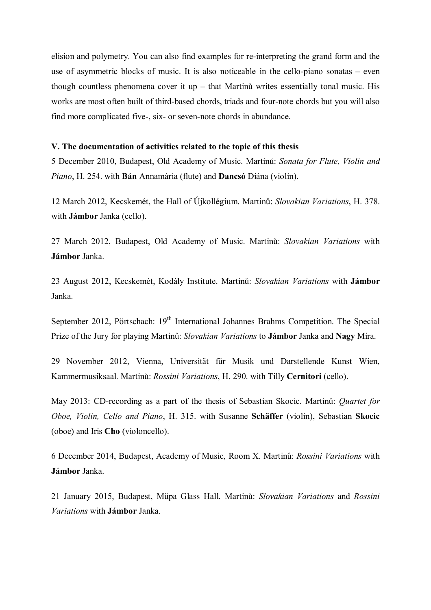elision and polymetry. You can also find examples for re-interpreting the grand form and the use of asymmetric blocks of music. It is also noticeable in the cello-piano sonatas – even though countless phenomena cover it up – that Martinů writes essentially tonal music. His works are most often built of third-based chords, triads and four-note chords but you will also find more complicated five-, six- or seven-note chords in abundance.

## **V. The documentation of activities related to the topic of this thesis**

5 December 2010, Budapest, Old Academy of Music. Martinů: *Sonata for Flute, Violin and Piano*, H. 254. with **Bán** Annamária (flute) and **Dancsó** Diána (violin).

12 March 2012, Kecskemét, the Hall of Újkollégium. Martinů: *Slovakian Variations*, H. 378. with **Jámbor** Janka (cello).

27 March 2012, Budapest, Old Academy of Music. Martinů: *Slovakian Variations* with **Jámbor** Janka.

23 August 2012, Kecskemét, Kodály Institute. Martinů: *Slovakian Variations* with **Jámbor** Janka.

September 2012, Pörtschach:  $19<sup>th</sup>$  International Johannes Brahms Competition. The Special Prize of the Jury for playing Martinů: *Slovakian Variations* to **Jámbor** Janka and **Nagy** Míra.

29 November 2012, Vienna, Universität für Musik und Darstellende Kunst Wien, Kammermusiksaal. Martinů: *Rossini Variations*, H. 290. with Tilly **Cernitori** (cello).

May 2013: CD-recording as a part of the thesis of Sebastian Skocic. Martinů: *Quartet for Oboe, Violin, Cello and Piano*, H. 315. with Susanne **Schäffer** (violin), Sebastian **Skocic** (oboe) and Iris **Cho** (violoncello).

6 December 2014, Budapest, Academy of Music, Room X. Martinů: *Rossini Variations* with **Jámbor** Janka.

21 January 2015, Budapest, Müpa Glass Hall. Martinů: *Slovakian Variations* and *Rossini Variations* with **Jámbor** Janka.